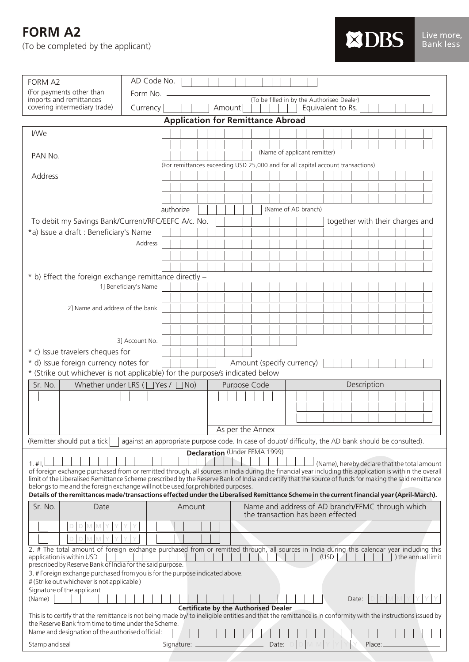**FORM A2** 

(To be completed by the applicant)

| <b>FORM A2</b>                                                                                                                                                                                                       | AD Code No.                                 |                                          |                           |                                                                                                                                                                                                         |  |
|----------------------------------------------------------------------------------------------------------------------------------------------------------------------------------------------------------------------|---------------------------------------------|------------------------------------------|---------------------------|---------------------------------------------------------------------------------------------------------------------------------------------------------------------------------------------------------|--|
| (For payments other than                                                                                                                                                                                             | Form No.                                    |                                          |                           |                                                                                                                                                                                                         |  |
| imports and remittances<br>covering intermediary trade)                                                                                                                                                              |                                             | Amount                                   |                           | (To be filled in by the Authorised Dealer)<br>Equivalent to Rs.                                                                                                                                         |  |
|                                                                                                                                                                                                                      | Currency                                    | <b>Application for Remittance Abroad</b> |                           |                                                                                                                                                                                                         |  |
|                                                                                                                                                                                                                      |                                             |                                          |                           |                                                                                                                                                                                                         |  |
| I/We                                                                                                                                                                                                                 |                                             |                                          |                           |                                                                                                                                                                                                         |  |
|                                                                                                                                                                                                                      |                                             |                                          |                           | (Name of applicant remitter)                                                                                                                                                                            |  |
| PAN No.                                                                                                                                                                                                              |                                             |                                          |                           | (For remittances exceeding USD 25,000 and for all capital account transactions)                                                                                                                         |  |
| Address                                                                                                                                                                                                              |                                             |                                          |                           |                                                                                                                                                                                                         |  |
|                                                                                                                                                                                                                      |                                             |                                          |                           |                                                                                                                                                                                                         |  |
|                                                                                                                                                                                                                      |                                             |                                          |                           |                                                                                                                                                                                                         |  |
|                                                                                                                                                                                                                      | authorize                                   |                                          |                           | (Name of AD branch)                                                                                                                                                                                     |  |
| To debit my Savings Bank/Current/RFC/EEFC A/c. No.                                                                                                                                                                   |                                             |                                          |                           | together with their charges and                                                                                                                                                                         |  |
| *a) Issue a draft : Beneficiary's Name                                                                                                                                                                               |                                             |                                          |                           |                                                                                                                                                                                                         |  |
|                                                                                                                                                                                                                      | Address                                     |                                          |                           |                                                                                                                                                                                                         |  |
|                                                                                                                                                                                                                      |                                             |                                          |                           |                                                                                                                                                                                                         |  |
|                                                                                                                                                                                                                      |                                             |                                          |                           |                                                                                                                                                                                                         |  |
| * b) Effect the foreign exchange remittance directly -                                                                                                                                                               |                                             |                                          |                           |                                                                                                                                                                                                         |  |
|                                                                                                                                                                                                                      | 1] Beneficiary's Name                       |                                          |                           |                                                                                                                                                                                                         |  |
|                                                                                                                                                                                                                      |                                             |                                          |                           |                                                                                                                                                                                                         |  |
| 2] Name and address of the bank                                                                                                                                                                                      |                                             |                                          |                           |                                                                                                                                                                                                         |  |
|                                                                                                                                                                                                                      |                                             |                                          |                           |                                                                                                                                                                                                         |  |
|                                                                                                                                                                                                                      | 3] Account No.                              |                                          |                           |                                                                                                                                                                                                         |  |
| * c) Issue travelers cheques for                                                                                                                                                                                     |                                             |                                          |                           |                                                                                                                                                                                                         |  |
| * d) Issue foreign currency notes for                                                                                                                                                                                |                                             |                                          | Amount (specify currency) |                                                                                                                                                                                                         |  |
| * (Strike out whichever is not applicable) for the purpose/s indicated below                                                                                                                                         |                                             |                                          |                           |                                                                                                                                                                                                         |  |
| Sr. No.                                                                                                                                                                                                              | Whether under LRS ( $\Box$ Yes / $\Box$ No) | Purpose Code                             |                           | Description                                                                                                                                                                                             |  |
|                                                                                                                                                                                                                      |                                             |                                          |                           |                                                                                                                                                                                                         |  |
|                                                                                                                                                                                                                      |                                             |                                          |                           |                                                                                                                                                                                                         |  |
|                                                                                                                                                                                                                      |                                             |                                          |                           |                                                                                                                                                                                                         |  |
|                                                                                                                                                                                                                      |                                             | As per the Annex                         |                           |                                                                                                                                                                                                         |  |
| against an appropriate purpose code. In case of doubt/ difficulty, the AD bank should be consulted).<br>(Remitter should put a tick                                                                                  |                                             |                                          |                           |                                                                                                                                                                                                         |  |
|                                                                                                                                                                                                                      |                                             | Declaration (Under FEMA 1999)            |                           |                                                                                                                                                                                                         |  |
| 1. #l                                                                                                                                                                                                                |                                             |                                          |                           | (Name), hereby declare that the total amount<br>of foreign exchange purchased from or remitted through, all sources in India during the financial year including this application is within the overall |  |
|                                                                                                                                                                                                                      |                                             |                                          |                           | limit of the Liberalised Remittance Scheme prescribed by the Reserve Bank of India and certify that the source of funds for making the said remittance                                                  |  |
| belongs to me and the foreign exchange will not be used for prohibited purposes.                                                                                                                                     |                                             |                                          |                           | Details of the remittances made/transactions effected under the Liberalised Remittance Scheme in the current financial year (April-March).                                                              |  |
| Sr. No.<br>Date                                                                                                                                                                                                      | Amount                                      |                                          |                           | Name and address of AD branch/FFMC through which                                                                                                                                                        |  |
|                                                                                                                                                                                                                      |                                             |                                          |                           | the transaction has been effected                                                                                                                                                                       |  |
|                                                                                                                                                                                                                      |                                             |                                          |                           |                                                                                                                                                                                                         |  |
|                                                                                                                                                                                                                      |                                             |                                          |                           |                                                                                                                                                                                                         |  |
| 2. # The total amount of foreign exchange purchased from or remitted through, all sources in India during this calendar year including this                                                                          |                                             |                                          |                           |                                                                                                                                                                                                         |  |
| application is within USD<br>) the annual limit<br>(USD<br>prescribed by Reserve Bank of India for the said purpose.                                                                                                 |                                             |                                          |                           |                                                                                                                                                                                                         |  |
| 3. # Foreign exchange purchased from you is for the purpose indicated above.                                                                                                                                         |                                             |                                          |                           |                                                                                                                                                                                                         |  |
| # (Strike out whichever is not applicable)                                                                                                                                                                           |                                             |                                          |                           |                                                                                                                                                                                                         |  |
| Signature of the applicant<br>(Name)<br>Date:                                                                                                                                                                        |                                             |                                          |                           |                                                                                                                                                                                                         |  |
| <b>Certificate by the Authorised Dealer</b>                                                                                                                                                                          |                                             |                                          |                           |                                                                                                                                                                                                         |  |
| This is to certify that the remittance is not being made by/ to ineligible entities and that the remittance is in conformity with the instructions issued by<br>the Reserve Bank from time to time under the Scheme. |                                             |                                          |                           |                                                                                                                                                                                                         |  |
| Name and designation of the authorised official:                                                                                                                                                                     |                                             |                                          |                           |                                                                                                                                                                                                         |  |
| Stamp and seal                                                                                                                                                                                                       | Signature:                                  |                                          | Date:                     | Place:                                                                                                                                                                                                  |  |

XDBS

Live more,<br>Bank less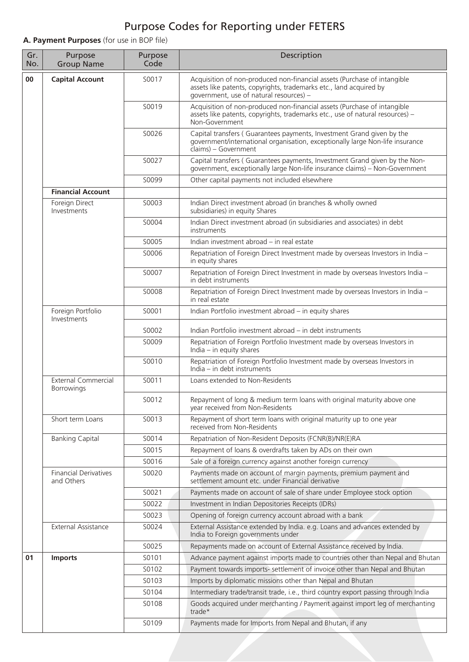## Purpose Codes for Reporting under FETERS

**A. Payment Purposes** (for use in BOP file)

| Gr.<br>No. | Purpose<br><b>Group Name</b>               | Purpose<br>Code | Description                                                                                                                                                                               |
|------------|--------------------------------------------|-----------------|-------------------------------------------------------------------------------------------------------------------------------------------------------------------------------------------|
| 00         | <b>Capital Account</b>                     | S0017           | Acquisition of non-produced non-financial assets (Purchase of intangible<br>assets like patents, copyrights, trademarks etc., land acquired by<br>government, use of natural resources) - |
|            |                                            | S0019           | Acquisition of non-produced non-financial assets (Purchase of intangible<br>assets like patents, copyrights, trademarks etc., use of natural resources) -<br>Non-Government               |
|            |                                            | S0026           | Capital transfers (Guarantees payments, Investment Grand given by the<br>government/international organisation, exceptionally large Non-life insurance<br>claims) - Government            |
|            |                                            | S0027           | Capital transfers (Guarantees payments, Investment Grand given by the Non-<br>government, exceptionally large Non-life insurance claims) - Non-Government                                 |
|            |                                            | S0099           | Other capital payments not included elsewhere                                                                                                                                             |
|            | <b>Financial Account</b>                   |                 |                                                                                                                                                                                           |
|            | Foreign Direct<br>Investments              | S0003           | Indian Direct investment abroad (in branches & wholly owned<br>subsidiaries) in equity Shares                                                                                             |
|            |                                            | S0004           | Indian Direct investment abroad (in subsidiaries and associates) in debt<br>instruments                                                                                                   |
|            |                                            | S0005           | Indian investment abroad - in real estate                                                                                                                                                 |
|            |                                            | S0006           | Repatriation of Foreign Direct Investment made by overseas Investors in India -<br>in equity shares                                                                                       |
|            |                                            | S0007           | Repatriation of Foreign Direct Investment in made by overseas Investors India -<br>in debt instruments                                                                                    |
|            |                                            | S0008           | Repatriation of Foreign Direct Investment made by overseas Investors in India -<br>in real estate                                                                                         |
|            | Foreign Portfolio<br>Investments           | S0001           | Indian Portfolio investment abroad - in equity shares                                                                                                                                     |
|            |                                            | S0002           | Indian Portfolio investment abroad - in debt instruments                                                                                                                                  |
|            |                                            | S0009           | Repatriation of Foreign Portfolio Investment made by overseas Investors in<br>$India - in equity shares$                                                                                  |
|            |                                            | S0010           | Repatriation of Foreign Portfolio Investment made by overseas Investors in<br>India - in debt instruments                                                                                 |
|            | <b>External Commercial</b><br>Borrowings   | S0011           | Loans extended to Non-Residents                                                                                                                                                           |
|            |                                            | S0012           | Repayment of long & medium term loans with original maturity above one<br>year received from Non-Residents                                                                                |
|            | Short term Loans                           | S0013           | Repayment of short term loans with original maturity up to one year<br>received from Non-Residents                                                                                        |
|            | <b>Banking Capital</b>                     | S0014           | Repatriation of Non-Resident Deposits (FCNR(B)/NR(E)RA                                                                                                                                    |
|            |                                            | S0015           | Repayment of loans & overdrafts taken by ADs on their own                                                                                                                                 |
|            |                                            | S0016           | Sale of a foreign currency against another foreign currency                                                                                                                               |
|            | <b>Financial Derivatives</b><br>and Others | S0020           | Payments made on account of margin payments, premium payment and<br>settlement amount etc. under Financial derivative                                                                     |
|            |                                            | S0021           | Payments made on account of sale of share under Employee stock option                                                                                                                     |
|            |                                            | S0022           | Investment in Indian Depositories Receipts (IDRs)                                                                                                                                         |
|            |                                            | S0023           | Opening of foreign currency account abroad with a bank                                                                                                                                    |
|            | External Assistance                        | S0024           | External Assistance extended by India. e.g. Loans and advances extended by<br>India to Foreign governments under                                                                          |
|            |                                            | S0025           | Repayments made on account of External Assistance received by India.                                                                                                                      |
| 01         | <b>Imports</b>                             | S0101           | Advance payment against imports made to countries other than Nepal and Bhutan                                                                                                             |
|            |                                            | S0102           | Payment towards imports- settlement of invoice other than Nepal and Bhutan                                                                                                                |
|            |                                            | S0103           | Imports by diplomatic missions other than Nepal and Bhutan                                                                                                                                |
|            |                                            | S0104           | Intermediary trade/transit trade, i.e., third country export passing through India                                                                                                        |
|            |                                            | S0108           | Goods acquired under merchanting / Payment against import leg of merchanting<br>trade*                                                                                                    |
|            |                                            | S0109           | Payments made for Imports from Nepal and Bhutan, if any                                                                                                                                   |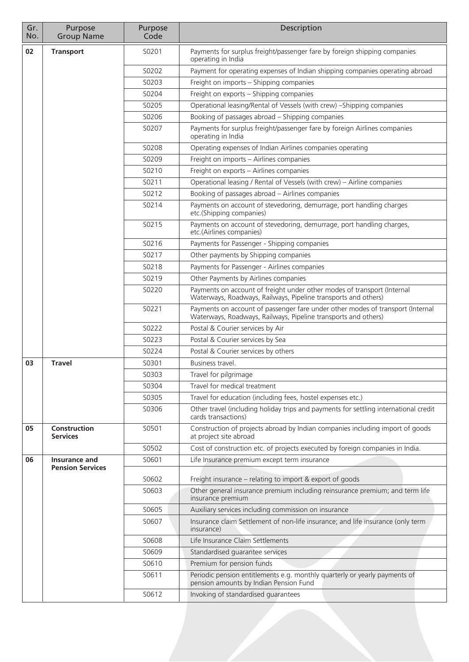| Gr.<br>No. | Purpose<br><b>Group Name</b>    | Purpose<br>Code | Description                                                                                                                                      |
|------------|---------------------------------|-----------------|--------------------------------------------------------------------------------------------------------------------------------------------------|
| 02         | <b>Transport</b>                | S0201           | Payments for surplus freight/passenger fare by foreign shipping companies<br>operating in India                                                  |
|            |                                 | S0202           | Payment for operating expenses of Indian shipping companies operating abroad                                                                     |
|            |                                 | S0203           | Freight on imports - Shipping companies                                                                                                          |
|            |                                 | S0204           | Freight on exports - Shipping companies                                                                                                          |
|            |                                 | S0205           | Operational leasing/Rental of Vessels (with crew) - Shipping companies                                                                           |
|            |                                 | S0206           | Booking of passages abroad - Shipping companies                                                                                                  |
|            |                                 | S0207           | Payments for surplus freight/passenger fare by foreign Airlines companies<br>operating in India                                                  |
|            |                                 | S0208           | Operating expenses of Indian Airlines companies operating                                                                                        |
|            |                                 | S0209           | Freight on imports - Airlines companies                                                                                                          |
|            |                                 | S0210           | Freight on exports - Airlines companies                                                                                                          |
|            |                                 | S0211           | Operational leasing / Rental of Vessels (with crew) - Airline companies                                                                          |
|            |                                 | S0212           | Booking of passages abroad - Airlines companies                                                                                                  |
|            |                                 | S0214           | Payments on account of stevedoring, demurrage, port handling charges<br>etc.(Shipping companies)                                                 |
|            |                                 | S0215           | Payments on account of stevedoring, demurrage, port handling charges,<br>etc.(Airlines companies)                                                |
|            |                                 | S0216           | Payments for Passenger - Shipping companies                                                                                                      |
|            |                                 | S0217           | Other payments by Shipping companies                                                                                                             |
|            |                                 | S0218           | Payments for Passenger - Airlines companies                                                                                                      |
|            |                                 | S0219           | Other Payments by Airlines companies                                                                                                             |
|            |                                 | S0220           | Payments on account of freight under other modes of transport (Internal<br>Waterways, Roadways, Railways, Pipeline transports and others)        |
|            |                                 | S0221           | Payments on account of passenger fare under other modes of transport (Internal<br>Waterways, Roadways, Railways, Pipeline transports and others) |
|            |                                 | S0222           | Postal & Courier services by Air                                                                                                                 |
|            |                                 | S0223           | Postal & Courier services by Sea                                                                                                                 |
|            |                                 | S0224           | Postal & Courier services by others                                                                                                              |
| 03         | <b>Travel</b>                   | S0301           | Business travel.                                                                                                                                 |
|            |                                 | S0303           | Travel for pilgrimage                                                                                                                            |
|            |                                 | S0304           | Travel for medical treatment                                                                                                                     |
|            |                                 | S0305           | Travel for education (including fees, hostel expenses etc.)                                                                                      |
|            |                                 | S0306           | Other travel (including holiday trips and payments for settling international credit<br>cards transactions)                                      |
| 05         | Construction<br><b>Services</b> | S0501           | Construction of projects abroad by Indian companies including import of goods<br>at project site abroad                                          |
|            |                                 | S0502           | Cost of construction etc. of projects executed by foreign companies in India.                                                                    |
| 06         | Insurance and                   | S0601           | Life Insurance premium except term insurance                                                                                                     |
|            | <b>Pension Services</b>         | S0602           | Freight insurance – relating to import & export of goods                                                                                         |
|            |                                 | S0603           | Other general insurance premium including reinsurance premium; and term life<br>insurance premium                                                |
|            |                                 | S0605           | Auxiliary services including commission on insurance                                                                                             |
|            |                                 | S0607           | Insurance claim Settlement of non-life insurance; and life insurance (only term<br>insurance)                                                    |
|            |                                 | S0608           | Life Insurance Claim Settlements                                                                                                                 |
|            |                                 | S0609           | Standardised guarantee services                                                                                                                  |
|            |                                 | S0610           | Premium for pension funds                                                                                                                        |
|            |                                 | S0611           | Periodic pension entitlements e.g. monthly quarterly or yearly payments of<br>pension amounts by Indian Pension Fund                             |
|            |                                 | S0612           | Invoking of standardised guarantees                                                                                                              |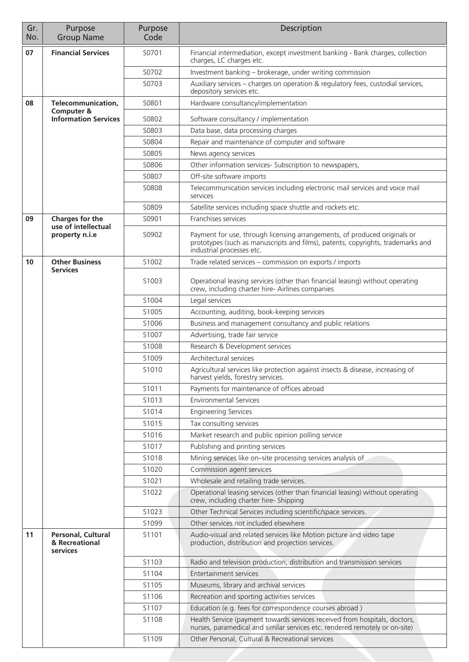| Gr.<br>No. | Purpose<br><b>Group Name</b>                     | Purpose<br>Code   | Description                                                                                                                                                                               |  |
|------------|--------------------------------------------------|-------------------|-------------------------------------------------------------------------------------------------------------------------------------------------------------------------------------------|--|
| 07         | <b>Financial Services</b>                        | S0701             | Financial intermediation, except investment banking - Bank charges, collection<br>charges, LC charges etc.                                                                                |  |
|            |                                                  | S0702             | Investment banking - brokerage, under writing commission                                                                                                                                  |  |
|            |                                                  | S0703             | Auxiliary services - charges on operation & regulatory fees, custodial services,<br>depository services etc.                                                                              |  |
| 08         | Telecommunication,<br>Computer &                 | S0801             | Hardware consultancy/implementation                                                                                                                                                       |  |
|            | <b>Information Services</b>                      | S0802             | Software consultancy / implementation                                                                                                                                                     |  |
|            |                                                  | S0803             | Data base, data processing charges                                                                                                                                                        |  |
|            |                                                  | S0804             | Repair and maintenance of computer and software                                                                                                                                           |  |
|            |                                                  | S0805             | News agency services                                                                                                                                                                      |  |
|            |                                                  | S0806             | Other information services- Subscription to newspapers,                                                                                                                                   |  |
|            |                                                  | S0807             | Off-site software imports                                                                                                                                                                 |  |
|            |                                                  | S0808             | Telecommunication services including electronic mail services and voice mail<br>services                                                                                                  |  |
|            |                                                  | S0809             | Satellite services including space shuttle and rockets etc.                                                                                                                               |  |
| 09         | Charges for the<br>use of intellectual           | S0901             | Franchises services                                                                                                                                                                       |  |
|            | property n.i.e                                   | S0902             | Payment for use, through licensing arrangements, of produced originals or<br>prototypes (such as manuscripts and films), patents, copyrights, trademarks and<br>industrial processes etc. |  |
| 10         | <b>Other Business</b><br><b>Services</b>         | S1002             | Trade related services - commission on exports / imports                                                                                                                                  |  |
|            |                                                  | S <sub>1003</sub> | Operational leasing services (other than financial leasing) without operating<br>crew, including charter hire- Airlines companies                                                         |  |
|            |                                                  | S1004             | Legal services                                                                                                                                                                            |  |
|            |                                                  | S1005             | Accounting, auditing, book-keeping services                                                                                                                                               |  |
|            |                                                  | S1006             | Business and management consultancy and public relations                                                                                                                                  |  |
|            |                                                  | S1007             | Advertising, trade fair service                                                                                                                                                           |  |
|            |                                                  | S1008             | Research & Development services                                                                                                                                                           |  |
|            |                                                  | S1009<br>S1010    | Architectural services<br>Agricultural services like protection against insects & disease, increasing of                                                                                  |  |
|            |                                                  |                   | harvest yields, forestry services.                                                                                                                                                        |  |
|            |                                                  | S1011             | Payments for maintenance of offices abroad                                                                                                                                                |  |
|            |                                                  | S1013<br>S1014    | <b>Environmental Services</b>                                                                                                                                                             |  |
|            |                                                  | S1015             | <b>Engineering Services</b><br>Tax consulting services                                                                                                                                    |  |
|            |                                                  | S1016             | Market research and public opinion polling service                                                                                                                                        |  |
|            |                                                  | S1017             | Publishing and printing services                                                                                                                                                          |  |
|            |                                                  | S1018             | Mining services like on-site processing services analysis of                                                                                                                              |  |
|            |                                                  | S1020             | Commission agent services                                                                                                                                                                 |  |
|            |                                                  | S1021             | Wholesale and retailing trade services.                                                                                                                                                   |  |
|            |                                                  | S1022             | Operational leasing services (other than financial leasing) without operating<br>crew, including charter hire- Shipping                                                                   |  |
|            |                                                  | S1023             | Other Technical Services including scientific/space services.                                                                                                                             |  |
|            |                                                  | S1099             | Other services not included elsewhere                                                                                                                                                     |  |
| 11         | Personal, Cultural<br>& Recreational<br>services | S1101             | Audio-visual and related services like Motion picture and video tape<br>production, distribution and projection services.                                                                 |  |
|            |                                                  | S1103             | Radio and television production, distribution and transmission services                                                                                                                   |  |
|            |                                                  | S1104             | Entertainment services                                                                                                                                                                    |  |
|            |                                                  | S1105             | Museums, library and archival services                                                                                                                                                    |  |
|            |                                                  | S1106             | Recreation and sporting activities services                                                                                                                                               |  |
|            |                                                  | S1107             | Education (e.g. fees for correspondence courses abroad)                                                                                                                                   |  |
|            |                                                  | S1108             | Health Service (payment towards services received from hospitals, doctors,<br>nurses, paramedical and similar services etc. rendered remotely or on-site)                                 |  |
|            |                                                  | S1109             | Other Personal, Cultural & Recreational services                                                                                                                                          |  |